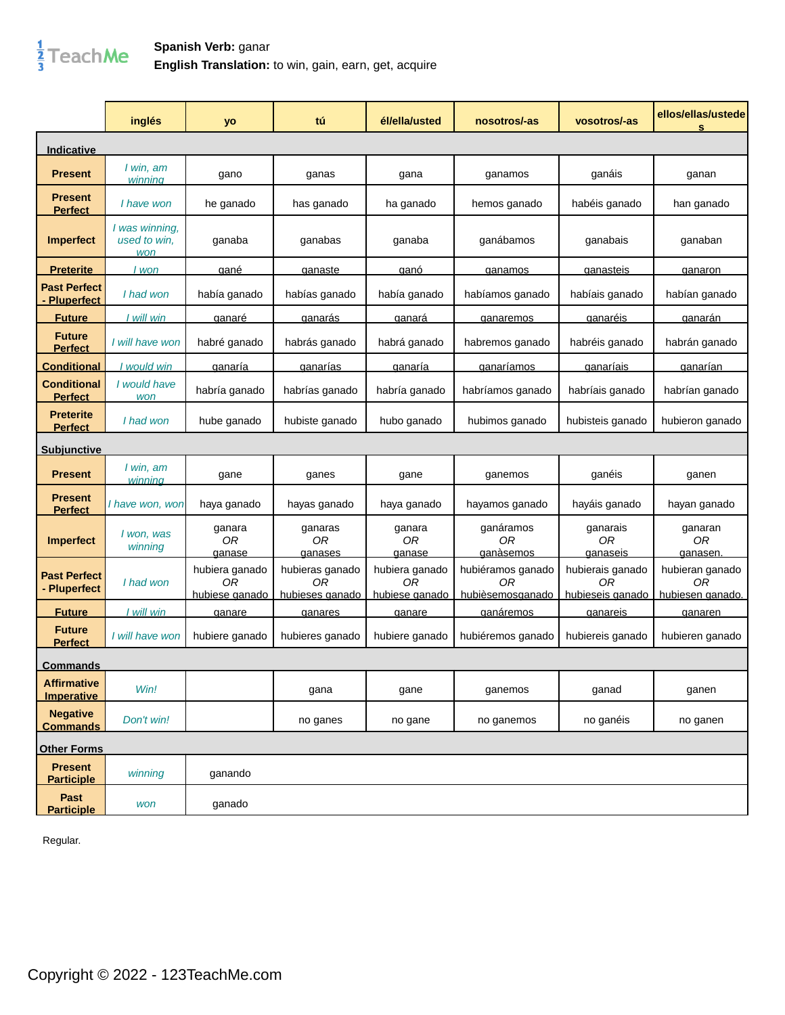

## **Spanish Verb:** ganar **English Translation:** to win, gain, earn, get, acquire

|                                         | inglés                                | yo                                     | tú                                       | él/ella/usted                          | nosotros/-as                                | vosotros/-as                               | ellos/ellas/ustede<br>S                   |
|-----------------------------------------|---------------------------------------|----------------------------------------|------------------------------------------|----------------------------------------|---------------------------------------------|--------------------------------------------|-------------------------------------------|
| <b>Indicative</b>                       |                                       |                                        |                                          |                                        |                                             |                                            |                                           |
| <b>Present</b>                          | I win, am<br><u>winning</u>           | gano                                   | ganas                                    | gana                                   | ganamos                                     | ganáis                                     | ganan                                     |
| <b>Present</b><br><b>Perfect</b>        | I have won                            | he ganado                              | has ganado                               | ha ganado                              | hemos ganado                                | habéis ganado                              | han ganado                                |
| Imperfect                               | I was winning,<br>used to win,<br>won | ganaba                                 | ganabas                                  | ganaba                                 | ganábamos                                   | ganabais                                   | ganaban                                   |
| <b>Preterite</b>                        | l won                                 | qané                                   | <u>aanaste</u>                           | qanó                                   | <u>aanamos</u>                              | danasteis                                  | danaron                                   |
| <b>Past Perfect</b><br>Pluperfect       | I had won                             | había ganado                           | habías ganado                            | había ganado                           | habíamos ganado                             | habíais ganado                             | habían ganado                             |
| <b>Future</b>                           | I will win                            | <u>ganaré</u>                          | <u>ganarás</u>                           | <u>ganará</u>                          | <b>ganaremos</b>                            | <u>ganaréis</u>                            | <u>ganarán</u>                            |
| <b>Future</b><br><b>Perfect</b>         | I will have won                       | habré ganado                           | habrás ganado                            | habrá ganado                           | habremos ganado                             | habréis ganado                             | habrán ganado                             |
| <u>Conditional</u>                      | <u>l would win</u>                    | ganaría                                | ganarías                                 | <u>ganaría</u>                         | ganariamos                                  | ganaríais                                  | <u>ganarían</u>                           |
| <b>Conditional</b><br><b>Perfect</b>    | I would have<br>won                   | habría ganado                          | habrías ganado                           | habría ganado                          | habríamos ganado                            | habríais ganado                            | habrían ganado                            |
| <b>Preterite</b><br><b>Perfect</b>      | I had won                             | hube ganado                            | hubiste ganado                           | hubo ganado                            | hubimos ganado                              | hubisteis ganado                           | hubieron ganado                           |
| <b>Subjunctive</b>                      |                                       |                                        |                                          |                                        |                                             |                                            |                                           |
| <b>Present</b>                          | I win, am<br>winning                  | gane                                   | ganes                                    | gane                                   | ganemos                                     | ganéis                                     | ganen                                     |
| <b>Present</b><br><b>Perfect</b>        | I have won, won                       | haya ganado                            | hayas ganado                             | haya ganado                            | hayamos ganado                              | hayáis ganado                              | hayan ganado                              |
| <b>Imperfect</b>                        | I won, was<br>winning                 | ganara<br>0 <sub>R</sub><br>danase     | ganaras<br>0R<br>danases                 | ganara<br>0 <sub>R</sub><br>danase     | ganáramos<br>0R<br>ganàsemos                | ganarais<br>0R<br><u>aanaseis</u>          | ganaran<br>0R<br>ganasen.                 |
| <b>Past Perfect</b><br>- Pluperfect     | I had won                             | hubiera ganado<br>0R<br>hubiese ganado | hubieras ganado<br>ΟR<br>hubieses ganado | hubiera ganado<br>ОR<br>hubiese ganado | hubiéramos ganado<br>ОR<br>hubièsemosganado | hubierais ganado<br>0R<br>hubieseis ganado | hubieran ganado<br>ОR<br>hubiesen ganado. |
| <b>Future</b>                           | l will win                            | <b>ganare</b>                          | danares                                  | <u>danare</u>                          | <u>aanáremos</u>                            | <u>aanareis</u>                            | <u>aanaren</u>                            |
| <b>Future</b><br><b>Perfect</b>         | I will have won                       | hubiere ganado                         | hubieres ganado                          | hubiere ganado                         | hubiéremos ganado                           | hubiereis ganado                           | hubieren ganado                           |
| <u>Commands</u>                         |                                       |                                        |                                          |                                        |                                             |                                            |                                           |
| <b>Affirmative</b><br><b>Imperative</b> | Win!                                  |                                        | gana                                     | gane                                   | ganemos                                     | ganad                                      | ganen                                     |
| <b>Negative</b><br><b>Commands</b>      | Don't win!                            |                                        | no ganes                                 | no gane                                | no ganemos                                  | no ganéis                                  | no ganen                                  |
| <b>Other Forms</b>                      |                                       |                                        |                                          |                                        |                                             |                                            |                                           |
| <b>Present</b><br><b>Participle</b>     | winning                               | ganando                                |                                          |                                        |                                             |                                            |                                           |
| Past<br><b>Participle</b>               | won                                   | ganado                                 |                                          |                                        |                                             |                                            |                                           |

Regular.